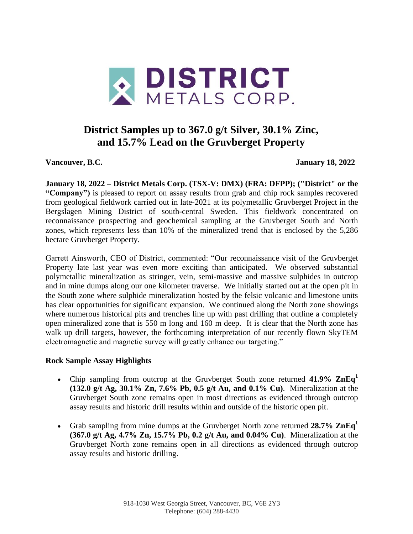

# **District Samples up to 367.0 g/t Silver, 30.1% Zinc, and 15.7% Lead on the Gruvberget Property**

**Vancouver, B.C. January 18, 2022**

**January 18, 2022 – District Metals Corp. (TSX-V: DMX) (FRA: DFPP); ("District" or the "Company")** is pleased to report on assay results from grab and chip rock samples recovered from geological fieldwork carried out in late-2021 at its polymetallic Gruvberget Project in the Bergslagen Mining District of south-central Sweden. This fieldwork concentrated on reconnaissance prospecting and geochemical sampling at the Gruvberget South and North zones, which represents less than 10% of the mineralized trend that is enclosed by the 5,286 hectare Gruvberget Property.

Garrett Ainsworth, CEO of District, commented: "Our reconnaissance visit of the Gruvberget Property late last year was even more exciting than anticipated. We observed substantial polymetallic mineralization as stringer, vein, semi-massive and massive sulphides in outcrop and in mine dumps along our one kilometer traverse. We initially started out at the open pit in the South zone where sulphide mineralization hosted by the felsic volcanic and limestone units has clear opportunities for significant expansion. We continued along the North zone showings where numerous historical pits and trenches line up with past drilling that outline a completely open mineralized zone that is 550 m long and 160 m deep. It is clear that the North zone has walk up drill targets, however, the forthcoming interpretation of our recently flown SkyTEM electromagnetic and magnetic survey will greatly enhance our targeting."

# **Rock Sample Assay Highlights**

- Chip sampling from outcrop at the Gruvberget South zone returned **41.9% ZnEq<sup>1</sup> (132.0 g/t Ag, 30.1% Zn, 7.6% Pb, 0.5 g/t Au, and 0.1% Cu)**. Mineralization at the Gruvberget South zone remains open in most directions as evidenced through outcrop assay results and historic drill results within and outside of the historic open pit.
- Grab sampling from mine dumps at the Gruvberget North zone returned **28.7% ZnEq<sup>1</sup> (367.0 g/t Ag, 4.7% Zn, 15.7% Pb, 0.2 g/t Au, and 0.04% Cu)**. Mineralization at the Gruvberget North zone remains open in all directions as evidenced through outcrop assay results and historic drilling.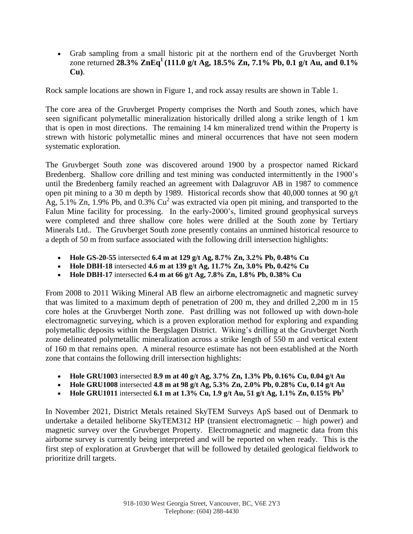Grab sampling from a small historic pit at the northern end of the Gruvberget North zone returned **28.3% ZnEq<sup>1</sup>(111.0 g/t Ag, 18.5% Zn, 7.1% Pb, 0.1 g/t Au, and 0.1% Cu)**.

Rock sample locations are shown in Figure 1, and rock assay results are shown in Table 1.

The core area of the Gruvberget Property comprises the North and South zones, which have seen significant polymetallic mineralization historically drilled along a strike length of 1 km that is open in most directions. The remaining 14 km mineralized trend within the Property is strewn with historic polymetallic mines and mineral occurrences that have not seen modern systematic exploration.

The Gruvberget South zone was discovered around 1900 by a prospector named Rickard Bredenberg. Shallow core drilling and test mining was conducted intermittently in the 1900's until the Bredenberg family reached an agreement with Dalagruvor AB in 1987 to commence open pit mining to a 30 m depth by 1989. Historical records show that 40,000 tonnes at 90 g/t Ag, 5.1% Zn, 1.9% Pb, and 0.3%  $Cu^2$  was extracted via open pit mining, and transported to the Falun Mine facility for processing. In the early-2000's, limited ground geophysical surveys were completed and three shallow core holes were drilled at the South zone by Tertiary Minerals Ltd.. The Gruvberget South zone presently contains an unmined historical resource to a depth of 50 m from surface associated with the following drill intersection highlights:

- **Hole GS-20-55** intersected **6.4 m at 129 g/t Ag, 8.7% Zn, 3.2% Pb, 0.48% Cu**
- **Hole DBH-18** intersected **4.6 m at 139 g/t Ag, 11.7% Zn, 3.0% Pb, 0.42% Cu**
- **Hole DBH-17** intersected **6.4 m at 66 g/t Ag, 7.8% Zn, 1.8% Pb, 0.38% Cu**

From 2008 to 2011 Wiking Mineral AB flew an airborne electromagnetic and magnetic survey that was limited to a maximum depth of penetration of 200 m, they and drilled 2,200 m in 15 core holes at the Gruvberget North zone. Past drilling was not followed up with down-hole electromagnetic surveying, which is a proven exploration method for exploring and expanding polymetallic deposits within the Bergslagen District. Wiking's drilling at the Gruvberget North zone delineated polymetallic mineralization across a strike length of 550 m and vertical extent of 160 m that remains open. A mineral resource estimate has not been established at the North zone that contains the following drill intersection highlights:

- **Hole GRU1003** intersected **8.9 m at 40 g/t Ag, 3.7% Zn, 1.3% Pb, 0.16% Cu, 0.04 g/t Au**
- **Hole GRU1008** intersected **4.8 m at 98 g/t Ag, 5.3% Zn, 2.0% Pb, 0.28% Cu, 0.14 g/t Au**
- Hole GRU1011 intersected 6.1 m at 1.3% Cu, 1.9 g/t Au, 51 g/t Ag, 1.1% Zn, 0.15%  $\text{Pb}^3$

In November 2021, District Metals retained SkyTEM Surveys ApS based out of Denmark to undertake a detailed heliborne SkyTEM312 HP (transient electromagnetic – high power) and magnetic survey over the Gruvberget Property. Electromagnetic and magnetic data from this airborne survey is currently being interpreted and will be reported on when ready. This is the first step of exploration at Gruvberget that will be followed by detailed geological fieldwork to prioritize drill targets.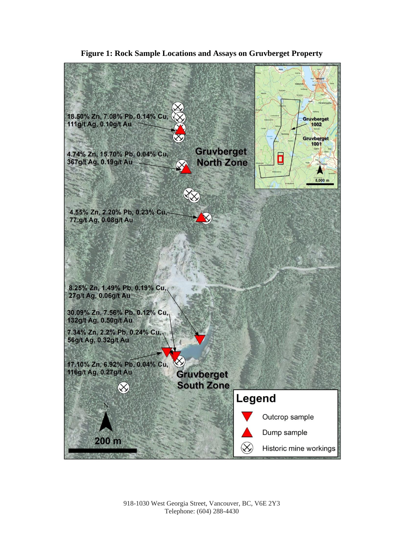

**Figure 1: Rock Sample Locations and Assays on Gruvberget Property**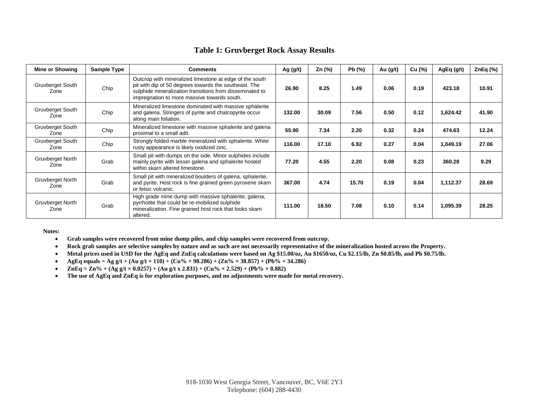#### **Table 1: Gruvberget Rock Assay Results**

| <b>Mine or Showing</b>   | Sample Type | <b>Comments</b>                                                                                                                                                                                                             | Ag $(g/t)$ | Zn (%) | Pb(%) | Au $(g/t)$ | Cu (%) | AgEq (g/t) | ZnEq $(\%)$ |
|--------------------------|-------------|-----------------------------------------------------------------------------------------------------------------------------------------------------------------------------------------------------------------------------|------------|--------|-------|------------|--------|------------|-------------|
| Gruvberget South<br>Zone | Chip        | Outcrop with mineralized limestone at edge of the south<br>pit with dip of 50 degrees towards the southeast. The<br>sulphide mineralization transitions from disseminated to<br>impregnation to more massive towards south. | 26.90      | 8.25   | 1.49  | 0.06       | 0.19   | 423.18     | 10.91       |
| Gruvberget South<br>Zone | Chip        | Mineralized limestone dominated with massive sphalerite<br>and galena. Stringers of pyrite and chalcopyrite occur<br>along main foliation.                                                                                  | 132.00     | 30.09  | 7.56  | 0.50       | 0.12   | 1,624.42   | 41.90       |
| Gruvberget South<br>Zone | Chip        | Mineralized limestone with massive sphalerite and galena<br>proximal to a small adit.                                                                                                                                       | 55.90      | 7.34   | 2.20  | 0.32       | 0.24   | 474.63     | 12.24       |
| Gruvberget South<br>Zone | Chip        | Strongly folded marble mineralized with sphalerite. White<br>rusty appearance is likely oxidized zinc.                                                                                                                      | 116.00     | 17.10  | 6.92  | 0.27       | 0.04   | 1,049.19   | 27.06       |
| Gruvberget North<br>Zone | Grab        | Small pit with dumps on the side. Minor sulphides include<br>mainly pyrite with lesser galena and sphalerite hosted<br>within skarn altered limestone.                                                                      | 77.20      | 4.55   | 2.20  | 0.08       | 0.23   | 360.28     | 9.29        |
| Gruvberget North<br>Zone | Grab        | Small pit with mineralized boulders of galena, sphalerite,<br>and pyrite. Host rock is fine grained green pyroxene skarn<br>or felsic volcanic.                                                                             | 367.00     | 4.74   | 15.70 | 0.19       | 0.04   | 1,112.37   | 28.69       |
| Gruvberget North<br>Zone | Grab        | High grade mine dump with massive sphalerite, galena,<br>pyrrhotite that could be re-mobilized sulphide<br>mineralization. Fine grained host rock that looks skarn<br>altered.                                              | 111.00     | 18.50  | 7.08  | 0.10       | 0.14   | 1,095.39   | 28.25       |

**Notes:**

- **Grab samples were recovered from mine dump piles, and chip samples were recovered from outcrop.**
- **Rock grab samples are selective samples by nature and as such are not necessarily representative of the mineralization hosted across the Property.**
- **Metal prices used in USD for the AgEq and ZnEq calculations were based on Ag \$15.00/oz, Au \$1650/oz, Cu \$2.15/lb, Zn \$0.85/lb, and Pb \$0.75/lb.**
- **•** AgEq equals = Ag g/t + (Au g/t  $\times$  110) + (Cu%  $\times$  98.286) + (Zn%  $\times$  38.857) + (Pb%  $\times$  34.286)
- $\text{ZnEq} = \text{Zn\%} + (\text{Ag g/t} \times 0.0257) + (\text{Au g/t x } 2.831) + (\text{Cu\%} \times 2.529) + (\text{Pb\%} \times 0.882)$
- **The use of AgEq and ZnEq is for exploration purposes, and no adjustments were made for metal recovery.**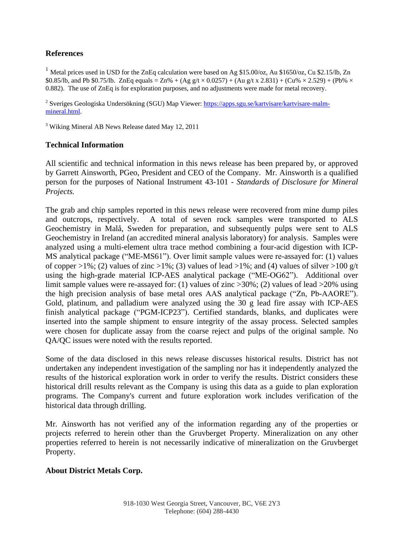# **References**

<sup>1</sup> Metal prices used in USD for the ZnEq calculation were based on Ag \$15.00/oz, Au \$1650/oz, Cu \$2.15/lb, Zn \$0.85/lb, and Pb \$0.75/lb. ZnEq equals = Zn% + (Ag g/t  $\times$  0.0257) + (Au g/t x 2.831) + (Cu%  $\times$  2.529) + (Pb%  $\times$ 0.882). The use of ZnEq is for exploration purposes, and no adjustments were made for metal recovery.

<sup>2</sup> Sveriges Geologiska Undersökning (SGU) Map Viewer: [https://apps.sgu.se/kartvisare/kartvisare-malm](https://apps.sgu.se/kartvisare/kartvisare-malm-mineral.html)[mineral.html.](https://apps.sgu.se/kartvisare/kartvisare-malm-mineral.html)

<sup>3</sup> Wiking Mineral AB News Release dated May 12, 2011

## **Technical Information**

All scientific and technical information in this news release has been prepared by, or approved by Garrett Ainsworth, PGeo, President and CEO of the Company. Mr. Ainsworth is a qualified person for the purposes of National Instrument 43-101 - *Standards of Disclosure for Mineral Projects.*

The grab and chip samples reported in this news release were recovered from mine dump piles and outcrops, respectively. A total of seven rock samples were transported to ALS Geochemistry in Malå, Sweden for preparation, and subsequently pulps were sent to ALS Geochemistry in Ireland (an accredited mineral analysis laboratory) for analysis. Samples were analyzed using a multi-element ultra trace method combining a four-acid digestion with ICP-MS analytical package ("ME-MS61"). Over limit sample values were re-assayed for: (1) values of copper >1%; (2) values of zinc >1%; (3) values of lead >1%; and (4) values of silver >100 g/t using the high-grade material ICP-AES analytical package ("ME-OG62"). Additional over limit sample values were re-assayed for: (1) values of zinc >30%; (2) values of lead >20% using the high precision analysis of base metal ores AAS analytical package ("Zn, Pb-AAORE"). Gold, platinum, and palladium were analyzed using the 30 g lead fire assay with ICP-AES finish analytical package ("PGM-ICP23"). Certified standards, blanks, and duplicates were inserted into the sample shipment to ensure integrity of the assay process. Selected samples were chosen for duplicate assay from the coarse reject and pulps of the original sample. No QA/QC issues were noted with the results reported.

Some of the data disclosed in this news release discusses historical results. District has not undertaken any independent investigation of the sampling nor has it independently analyzed the results of the historical exploration work in order to verify the results. District considers these historical drill results relevant as the Company is using this data as a guide to plan exploration programs. The Company's current and future exploration work includes verification of the historical data through drilling.

Mr. Ainsworth has not verified any of the information regarding any of the properties or projects referred to herein other than the Gruvberget Property. Mineralization on any other properties referred to herein is not necessarily indicative of mineralization on the Gruvberget Property.

## **About District Metals Corp.**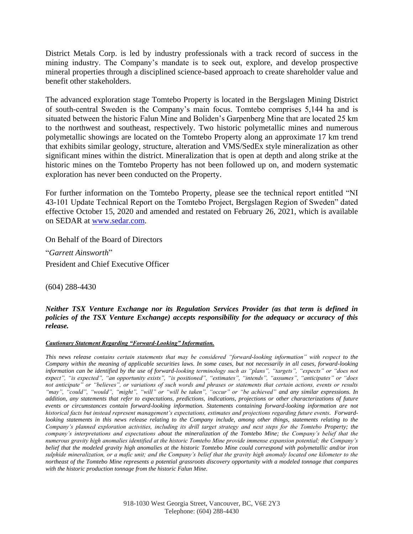District Metals Corp. is led by industry professionals with a track record of success in the mining industry. The Company's mandate is to seek out, explore, and develop prospective mineral properties through a disciplined science-based approach to create shareholder value and benefit other stakeholders.

The advanced exploration stage Tomtebo Property is located in the Bergslagen Mining District of south-central Sweden is the Company's main focus. Tomtebo comprises 5,144 ha and is situated between the historic Falun Mine and Boliden's Garpenberg Mine that are located 25 km to the northwest and southeast, respectively. Two historic polymetallic mines and numerous polymetallic showings are located on the Tomtebo Property along an approximate 17 km trend that exhibits similar geology, structure, alteration and VMS/SedEx style mineralization as other significant mines within the district. Mineralization that is open at depth and along strike at the historic mines on the Tomtebo Property has not been followed up on, and modern systematic exploration has never been conducted on the Property.

For further information on the Tomtebo Property, please see the technical report entitled "NI 43-101 Update Technical Report on the Tomtebo Project, Bergslagen Region of Sweden" dated effective October 15, 2020 and amended and restated on February 26, 2021, which is available on SEDAR at [www.sedar.com.](http://www.sedar.com/)

On Behalf of the Board of Directors

"*Garrett Ainsworth*"

President and Chief Executive Officer

(604) 288-4430

*Neither TSX Venture Exchange nor its Regulation Services Provider (as that term is defined in policies of the TSX Venture Exchange) accepts responsibility for the adequacy or accuracy of this release.*

#### *Cautionary Statement Regarding "Forward-Looking" Information.*

*This news release contains certain statements that may be considered "forward-looking information" with respect to the Company within the meaning of applicable securities laws. In some cases, but not necessarily in all cases, forward-looking information can be identified by the use of forward-looking terminology such as "plans", "targets", "expects" or "does not expect", "is expected", "an opportunity exists", "is positioned", "estimates", "intends", "assumes", "anticipates" or "does not anticipate" or "believes", or variations of such words and phrases or statements that certain actions, events or results "may", "could", "would", "might", "will" or "will be taken", "occur" or "be achieved" and any similar expressions. In addition, any statements that refer to expectations, predictions, indications, projections or other characterizations of future events or circumstances contain forward-looking information. Statements containing forward-looking information are not historical facts but instead represent management's expectations, estimates and projections regarding future events. Forwardlooking statements in this news release relating to the Company include, among other things, statements relating to the Company's planned exploration activities, including its drill target strategy and next steps for the Tomtebo Property; the company's interpretations and expectations about the mineralization of the Tomtebo Mine; the Company's belief that the numerous gravity high anomalies identified at the historic Tomtebo Mine provide immense expansion potential; the Company's belief that the modeled gravity high anomalies at the historic Tomtebo Mine could correspond with polymetallic and/or iron sulphide mineralization, or a mafic unit; and the Company's belief that the gravity high anomaly located one kilometer to the northeast of the Tomtebo Mine represents a potential grassroots discovery opportunity with a modeled tonnage that compares with the historic production tonnage from the historic Falun Mine.*